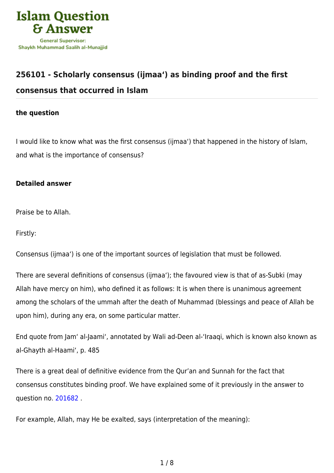

## **[256101 - Scholarly consensus \(ijmaa'\) as binding proof and the first](https://islamqa.com/en/answers/256101/scholarly-consensus-ijmaa-as-binding-proof-and-the-first-consensus-that-occurred-in-islam)**

## **[consensus that occurred in Islam](https://islamqa.com/en/answers/256101/scholarly-consensus-ijmaa-as-binding-proof-and-the-first-consensus-that-occurred-in-islam)**

## **the question**

I would like to know what was the first consensus (ijmaa') that happened in the history of Islam, and what is the importance of consensus?

## **Detailed answer**

Praise be to Allah.

Firstly:

Consensus (ijmaa') is one of the important sources of legislation that must be followed.

There are several definitions of consensus (ijmaa'); the favoured view is that of as-Subki (may Allah have mercy on him), who defined it as follows: It is when there is unanimous agreement among the scholars of the ummah after the death of Muhammad (blessings and peace of Allah be upon him), during any era, on some particular matter.

End quote from Jam' al-Jaami', annotated by Wali ad-Deen al-'Iraaqi, which is known also known as al-Ghayth al-Haami', p. 485

There is a great deal of definitive evidence from the Qur'an and Sunnah for the fact that consensus constitutes binding proof. We have explained some of it previously in the answer to question no. [201682](https://islamqa.com/en/answers/201682) .

For example, Allah, may He be exalted, says (interpretation of the meaning):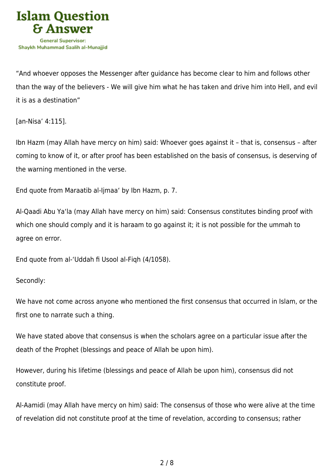

"And whoever opposes the Messenger after guidance has become clear to him and follows other than the way of the believers - We will give him what he has taken and drive him into Hell, and evil it is as a destination"

[an-Nisa' 4:115].

Ibn Hazm (may Allah have mercy on him) said: Whoever goes against it – that is, consensus – after coming to know of it, or after proof has been established on the basis of consensus, is deserving of the warning mentioned in the verse.

End quote from Maraatib al-Ijmaa' by Ibn Hazm, p. 7.

Al-Qaadi Abu Ya'la (may Allah have mercy on him) said: Consensus constitutes binding proof with which one should comply and it is haraam to go against it; it is not possible for the ummah to agree on error.

End quote from al-'Uddah fi Usool al-Fiqh (4/1058).

Secondly:

We have not come across anyone who mentioned the first consensus that occurred in Islam, or the first one to narrate such a thing.

We have stated above that consensus is when the scholars agree on a particular issue after the death of the Prophet (blessings and peace of Allah be upon him).

However, during his lifetime (blessings and peace of Allah be upon him), consensus did not constitute proof.

Al-Aamidi (may Allah have mercy on him) said: The consensus of those who were alive at the time of revelation did not constitute proof at the time of revelation, according to consensus; rather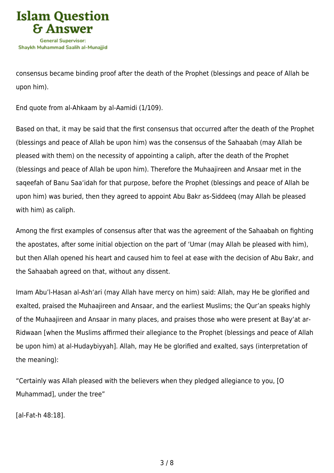

consensus became binding proof after the death of the Prophet (blessings and peace of Allah be upon him).

End quote from al-Ahkaam by al-Aamidi (1/109).

Based on that, it may be said that the first consensus that occurred after the death of the Prophet (blessings and peace of Allah be upon him) was the consensus of the Sahaabah (may Allah be pleased with them) on the necessity of appointing a caliph, after the death of the Prophet (blessings and peace of Allah be upon him). Therefore the Muhaajireen and Ansaar met in the saqeefah of Banu Saa'idah for that purpose, before the Prophet (blessings and peace of Allah be upon him) was buried, then they agreed to appoint Abu Bakr as-Siddeeq (may Allah be pleased with him) as caliph.

Among the first examples of consensus after that was the agreement of the Sahaabah on fighting the apostates, after some initial objection on the part of 'Umar (may Allah be pleased with him), but then Allah opened his heart and caused him to feel at ease with the decision of Abu Bakr, and the Sahaabah agreed on that, without any dissent.

Imam Abu'l-Hasan al-Ash'ari (may Allah have mercy on him) said: Allah, may He be glorified and exalted, praised the Muhaajireen and Ansaar, and the earliest Muslims; the Qur'an speaks highly of the Muhaajireen and Ansaar in many places, and praises those who were present at Bay'at ar-Ridwaan [when the Muslims affirmed their allegiance to the Prophet (blessings and peace of Allah be upon him) at al-Hudaybiyyah]. Allah, may He be glorified and exalted, says (interpretation of the meaning):

"Certainly was Allah pleased with the believers when they pledged allegiance to you, [O Muhammad], under the tree"

[al-Fat-h 48:18].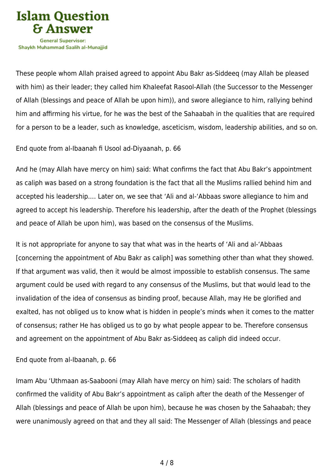

These people whom Allah praised agreed to appoint Abu Bakr as-Siddeeq (may Allah be pleased with him) as their leader; they called him Khaleefat Rasool-Allah (the Successor to the Messenger of Allah (blessings and peace of Allah be upon him)), and swore allegiance to him, rallying behind him and affirming his virtue, for he was the best of the Sahaabah in the qualities that are required for a person to be a leader, such as knowledge, asceticism, wisdom, leadership abilities, and so on.

End quote from al-Ibaanah fi Usool ad-Diyaanah, p. 66

And he (may Allah have mercy on him) said: What confirms the fact that Abu Bakr's appointment as caliph was based on a strong foundation is the fact that all the Muslims rallied behind him and accepted his leadership.… Later on, we see that 'Ali and al-'Abbaas swore allegiance to him and agreed to accept his leadership. Therefore his leadership, after the death of the Prophet (blessings and peace of Allah be upon him), was based on the consensus of the Muslims.

It is not appropriate for anyone to say that what was in the hearts of 'Ali and al-'Abbaas [concerning the appointment of Abu Bakr as caliph] was something other than what they showed. If that argument was valid, then it would be almost impossible to establish consensus. The same argument could be used with regard to any consensus of the Muslims, but that would lead to the invalidation of the idea of consensus as binding proof, because Allah, may He be glorified and exalted, has not obliged us to know what is hidden in people's minds when it comes to the matter of consensus; rather He has obliged us to go by what people appear to be. Therefore consensus and agreement on the appointment of Abu Bakr as-Siddeeq as caliph did indeed occur.

End quote from al-Ibaanah, p. 66

Imam Abu 'Uthmaan as-Saabooni (may Allah have mercy on him) said: The scholars of hadith confirmed the validity of Abu Bakr's appointment as caliph after the death of the Messenger of Allah (blessings and peace of Allah be upon him), because he was chosen by the Sahaabah; they were unanimously agreed on that and they all said: The Messenger of Allah (blessings and peace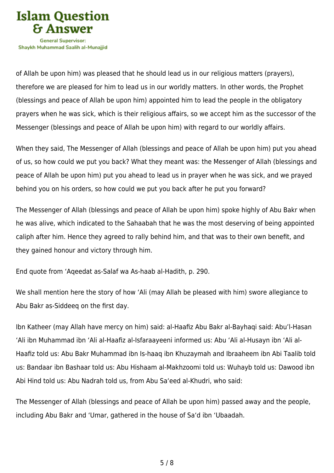

of Allah be upon him) was pleased that he should lead us in our religious matters (prayers), therefore we are pleased for him to lead us in our worldly matters. In other words, the Prophet (blessings and peace of Allah be upon him) appointed him to lead the people in the obligatory prayers when he was sick, which is their religious affairs, so we accept him as the successor of the Messenger (blessings and peace of Allah be upon him) with regard to our worldly affairs.

When they said, The Messenger of Allah (blessings and peace of Allah be upon him) put you ahead of us, so how could we put you back? What they meant was: the Messenger of Allah (blessings and peace of Allah be upon him) put you ahead to lead us in prayer when he was sick, and we prayed behind you on his orders, so how could we put you back after he put you forward?

The Messenger of Allah (blessings and peace of Allah be upon him) spoke highly of Abu Bakr when he was alive, which indicated to the Sahaabah that he was the most deserving of being appointed caliph after him. Hence they agreed to rally behind him, and that was to their own benefit, and they gained honour and victory through him.

End quote from 'Aqeedat as-Salaf wa As-haab al-Hadith, p. 290.

We shall mention here the story of how 'Ali (may Allah be pleased with him) swore allegiance to Abu Bakr as-Siddeeq on the first day.

Ibn Katheer (may Allah have mercy on him) said: al-Haafiz Abu Bakr al-Bayhaqi said: Abu'l-Hasan 'Ali ibn Muhammad ibn 'Ali al-Haafiz al-Isfaraayeeni informed us: Abu 'Ali al-Husayn ibn 'Ali al-Haafiz told us: Abu Bakr Muhammad ibn Is-haaq ibn Khuzaymah and Ibraaheem ibn Abi Taalib told us: Bandaar ibn Bashaar told us: Abu Hishaam al-Makhzoomi told us: Wuhayb told us: Dawood ibn Abi Hind told us: Abu Nadrah told us, from Abu Sa'eed al-Khudri, who said:

The Messenger of Allah (blessings and peace of Allah be upon him) passed away and the people, including Abu Bakr and 'Umar, gathered in the house of Sa'd ibn 'Ubaadah.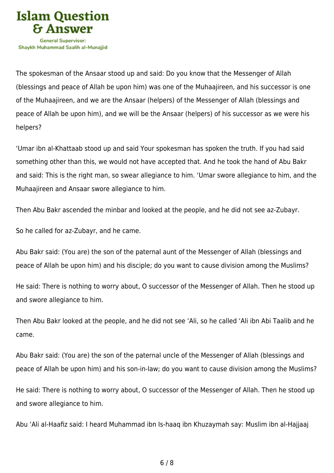

The spokesman of the Ansaar stood up and said: Do you know that the Messenger of Allah (blessings and peace of Allah be upon him) was one of the Muhaajireen, and his successor is one of the Muhaajireen, and we are the Ansaar (helpers) of the Messenger of Allah (blessings and peace of Allah be upon him), and we will be the Ansaar (helpers) of his successor as we were his helpers?

'Umar ibn al-Khattaab stood up and said Your spokesman has spoken the truth. If you had said something other than this, we would not have accepted that. And he took the hand of Abu Bakr and said: This is the right man, so swear allegiance to him. 'Umar swore allegiance to him, and the Muhaajireen and Ansaar swore allegiance to him.

Then Abu Bakr ascended the minbar and looked at the people, and he did not see az-Zubayr.

So he called for az-Zubayr, and he came.

Abu Bakr said: (You are) the son of the paternal aunt of the Messenger of Allah (blessings and peace of Allah be upon him) and his disciple; do you want to cause division among the Muslims?

He said: There is nothing to worry about, O successor of the Messenger of Allah. Then he stood up and swore allegiance to him.

Then Abu Bakr looked at the people, and he did not see 'Ali, so he called 'Ali ibn Abi Taalib and he came.

Abu Bakr said: (You are) the son of the paternal uncle of the Messenger of Allah (blessings and peace of Allah be upon him) and his son-in-law; do you want to cause division among the Muslims?

He said: There is nothing to worry about, O successor of the Messenger of Allah. Then he stood up and swore allegiance to him.

Abu 'Ali al-Haafiz said: I heard Muhammad ibn Is-haaq ibn Khuzaymah say: Muslim ibn al-Hajjaaj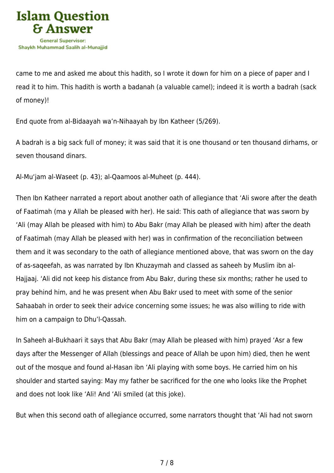

came to me and asked me about this hadith, so I wrote it down for him on a piece of paper and I read it to him. This hadith is worth a badanah (a valuable camel); indeed it is worth a badrah (sack of money)!

End quote from al-Bidaayah wa'n-Nihaayah by Ibn Katheer (5/269).

A badrah is a big sack full of money; it was said that it is one thousand or ten thousand dirhams, or seven thousand dinars.

Al-Mu'jam al-Waseet (p. 43); al-Qaamoos al-Muheet (p. 444).

Then Ibn Katheer narrated a report about another oath of allegiance that 'Ali swore after the death of Faatimah (ma y Allah be pleased with her). He said: This oath of allegiance that was sworn by 'Ali (may Allah be pleased with him) to Abu Bakr (may Allah be pleased with him) after the death of Faatimah (may Allah be pleased with her) was in confirmation of the reconciliation between them and it was secondary to the oath of allegiance mentioned above, that was sworn on the day of as-saqeefah, as was narrated by Ibn Khuzaymah and classed as saheeh by Muslim ibn al-Hajjaaj. 'Ali did not keep his distance from Abu Bakr, during these six months; rather he used to pray behind him, and he was present when Abu Bakr used to meet with some of the senior Sahaabah in order to seek their advice concerning some issues; he was also willing to ride with him on a campaign to Dhu'l-Qassah.

In Saheeh al-Bukhaari it says that Abu Bakr (may Allah be pleased with him) prayed 'Asr a few days after the Messenger of Allah (blessings and peace of Allah be upon him) died, then he went out of the mosque and found al-Hasan ibn 'Ali playing with some boys. He carried him on his shoulder and started saying: May my father be sacrificed for the one who looks like the Prophet and does not look like 'Ali! And 'Ali smiled (at this joke).

But when this second oath of allegiance occurred, some narrators thought that 'Ali had not sworn